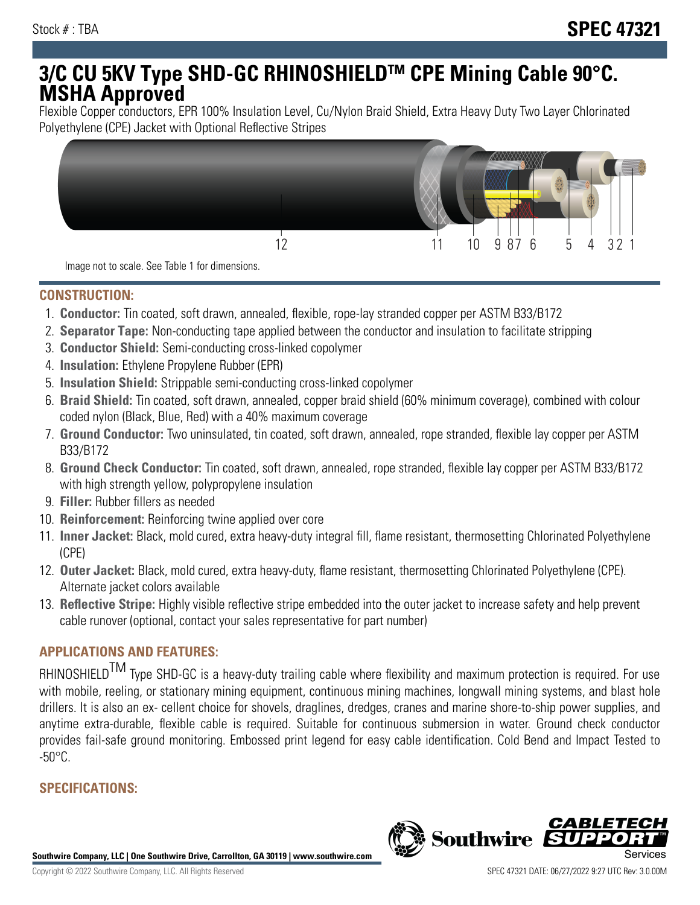# **3/C CU 5KV Type SHD-GC RHINOSHIELDTM CPE Mining Cable 90°C. MSHA Approved**

Flexible Copper conductors, EPR 100% Insulation Level, Cu/Nylon Braid Shield, Extra Heavy Duty Two Layer Chlorinated Polyethylene (CPE) Jacket with Optional Reflective Stripes



Image not to scale. See Table 1 for dimensions.

### **CONSTRUCTION:**

- 1. **Conductor:** Tin coated, soft drawn, annealed, flexible, rope-lay stranded copper per ASTM B33/B172
- 2. **Separator Tape:** Non-conducting tape applied between the conductor and insulation to facilitate stripping
- 3. **Conductor Shield:** Semi-conducting cross-linked copolymer
- 4. **Insulation:** Ethylene Propylene Rubber (EPR)
- 5. **Insulation Shield:** Strippable semi-conducting cross-linked copolymer
- 6. **Braid Shield:** Tin coated, soft drawn, annealed, copper braid shield (60% minimum coverage), combined with colour coded nylon (Black, Blue, Red) with a 40% maximum coverage
- 7. **Ground Conductor:** Two uninsulated, tin coated, soft drawn, annealed, rope stranded, flexible lay copper per ASTM B33/B172
- 8. **Ground Check Conductor:** Tin coated, soft drawn, annealed, rope stranded, flexible lay copper per ASTM B33/B172 with high strength yellow, polypropylene insulation
- 9. **Filler:** Rubber fillers as needed
- 10. **Reinforcement:** Reinforcing twine applied over core
- 11. **Inner Jacket:** Black, mold cured, extra heavy-duty integral fill, flame resistant, thermosetting Chlorinated Polyethylene (CPE)
- 12. **Outer Jacket:** Black, mold cured, extra heavy-duty, flame resistant, thermosetting Chlorinated Polyethylene (CPE). Alternate jacket colors available
- 13. **Reflective Stripe:** Highly visible reflective stripe embedded into the outer jacket to increase safety and help prevent cable runover (optional, contact your sales representative for part number)

## **APPLICATIONS AND FEATURES:**

RHINOSHIELD<sup>TM</sup> Type SHD-GC is a heavy-duty trailing cable where flexibility and maximum protection is required. For use with mobile, reeling, or stationary mining equipment, continuous mining machines, longwall mining systems, and blast hole drillers. It is also an ex- cellent choice for shovels, draglines, dredges, cranes and marine shore-to-ship power supplies, and anytime extra-durable, flexible cable is required. Suitable for continuous submersion in water. Ground check conductor provides fail-safe ground monitoring. Embossed print legend for easy cable identification. Cold Bend and Impact Tested to  $-50^{\circ}$ C.

## **SPECIFICATIONS:**

**Southwire Company, LLC | One Southwire Drive, Carrollton, GA 30119 | www.southwire.com**

**Southwire** 

CABL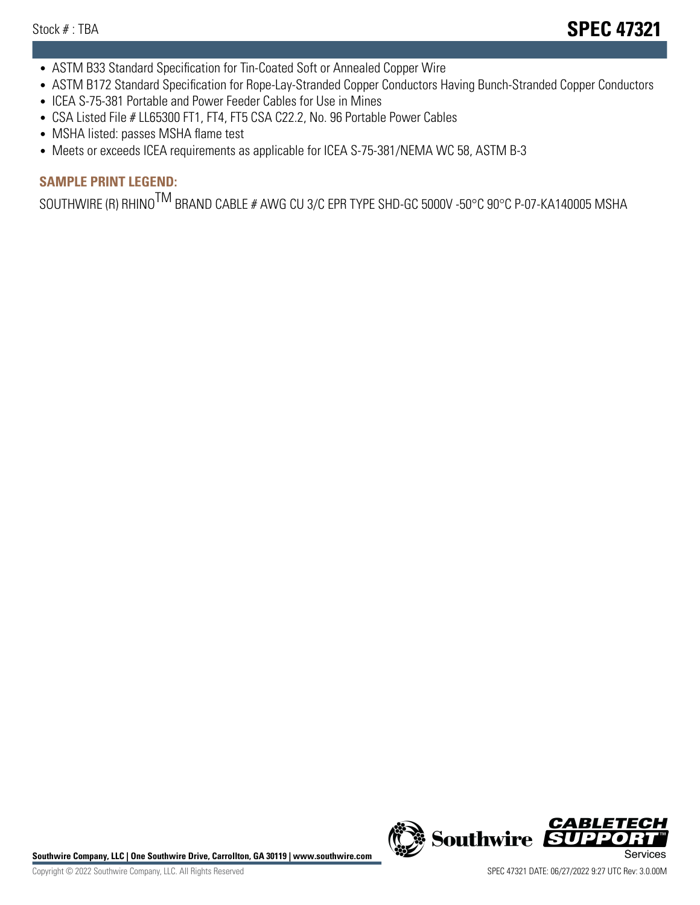- ASTM B33 Standard Specification for Tin-Coated Soft or Annealed Copper Wire
- ASTM B172 Standard Specification for Rope-Lay-Stranded Copper Conductors Having Bunch-Stranded Copper Conductors
- ICEA S-75-381 Portable and Power Feeder Cables for Use in Mines
- CSA Listed File # LL65300 FT1, FT4, FT5 CSA C22.2, No. 96 Portable Power Cables
- MSHA listed: passes MSHA flame test
- Meets or exceeds ICEA requirements as applicable for ICEA S-75-381/NEMA WC 58, ASTM B-3

## **SAMPLE PRINT LEGEND:**

SOUTHWIRE (R) RHINO<sup>TM</sup> BRAND CABLE # AWG CU 3/C EPR TYPE SHD-GC 5000V -50°C 90°C P-07-KA140005 MSHA

Southwire Company, LLC | One Southwire Drive, Carrollton, GA 30119 | www.southwire.com **Second Company, COVID Services** 



CABLE